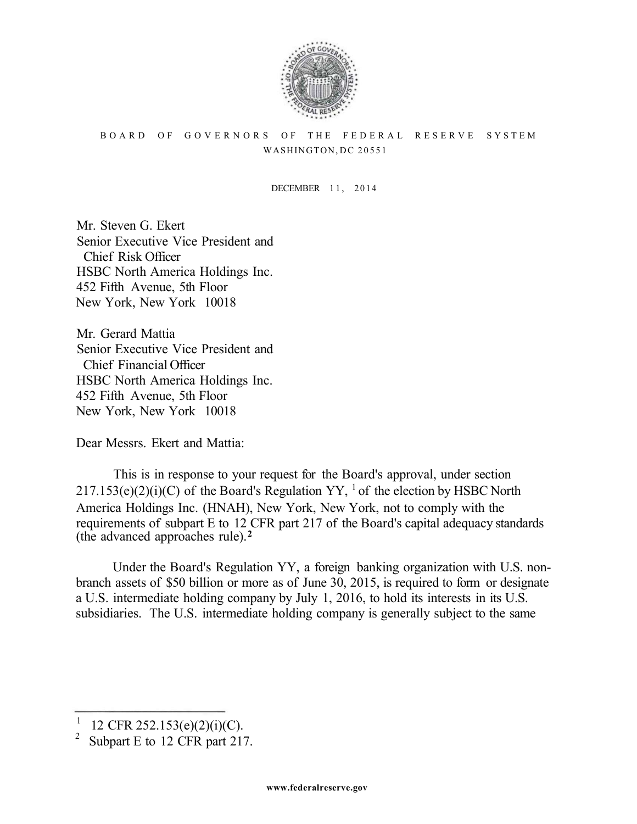

## BOARD OF GOVERNORS OF THE FEDERAL RESERVE SYSTEM WASHINGTON, DC 20551

DECEMBER 11, 2014

Mr. Steven G. Ekert Senior Executive Vice President and Chief Risk Officer HSBC North America Holdings Inc. 452 Fifth Avenue, 5th Floor New York, New York 10018

Mr. Gerard Mattia Senior Executive Vice President and Chief Financial Officer HSBC North America Holdings Inc. 452 Fifth Avenue, 5th Floor New York, New York 10018

Dear Messrs. Ekert and Mattia:

This is in response to your request for the Board's approval, under section  $217.153(e)(2)(i)(C)$  of the Board's Regulation YY, <sup>1</sup> of the election by HSBC North America Holdings Inc. (HNAH), New York, New York, not to comply with the requirements of subpart E to 12 CFR part 217 of the Board's capital adequacy standards (the advanced approaches rule). **<sup>2</sup>**

Under the Board's Regulation YY, a foreign banking organization with U.S. nonbranch assets of \$50 billion or more as of June 30, 2015, is required to form or designate a U.S. intermediate holding company by July 1, 2016, to hold its interests in its U.S. subsidiaries. The U.S. intermediate holding company is generally subject to the same

<sup>1</sup> <sup>1</sup> 12 CFR 252.153(e)(2)(i)(C).<br><sup>2</sup> Subpart E to 12 CFP part 21<sup>2</sup>

Subpart E to 12 CFR part 217.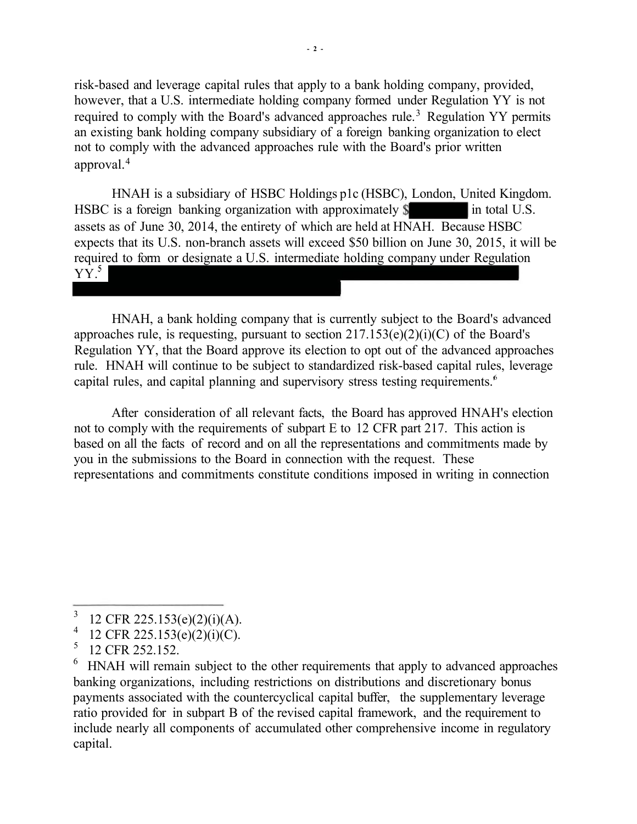risk-based and leverage capital rules that apply to a bank holding company, provided, however, that a U.S. intermediate holding company formed under Regulation YY is not required to comply with the Board's advanced approaches rule.<sup>3</sup> Regulation YY permits an existing bank holding company subsidiary of a foreign banking organization to elect not to comply with the advanced approaches rule with the Board's prior written approval. 4

HNAH is a subsidiary of HSBC Holdings p1c (HSBC), London, United Kingdom. HSBC is a foreign banking organization with approximately  $\$\$ in total U.S. assets as of June 30, 2014, the entirety of which are held at HNAH. Because HSBC expects that its U.S. non-branch assets will exceed \$50 billion on June 30, 2015, it will be required to form or designate a U.S. intermediate holding company under Regulation  $Y\overline{Y}$ <sup>5</sup>

HNAH, a bank holding company that is currently subject to the Board's advanced approaches rule, is requesting, pursuant to section  $217.153(e)(2)(i)(C)$  of the Board's Regulation YY, that the Board approve its election to opt out of the advanced approaches rule. HNAH will continue to be subject to standardized risk-based capital rules, leverage capital rules, and capital planning and supervisory stress testing requirements.' 6

After consideration of all relevant facts, the Board has approved HNAH's election not to comply with the requirements of subpart E to 12 CFR part 217. This action is based on all the facts of record and on all the representations and commitments made by you in the submissions to the Board in connection with the request. These representations and commitments constitute conditions imposed in writing in connection

<sup>3</sup> <sup>3</sup> 12 CFR 225.153(e)(2)(i)(A).<br><sup>4</sup> 12 CFB 225.153(e)(2)(i)(C)

<sup>&</sup>lt;sup>4</sup> 12 CFR 225.153(e)(2)(i)(C).<br>
<sup>5</sup> 12 CEB 252.152

 $^{5}$  12 CFR 252.152.

HNAH will remain subject to the other requirements that apply to advanced approaches banking organizations, including restrictions on distributions and discretionary bonus payments associated with the countercyclical capital buffer, the supplementary leverage ratio provided for in subpart B of the revised capital framework, and the requirement to include nearly all components of accumulated other comprehensive income in regulatory capital.